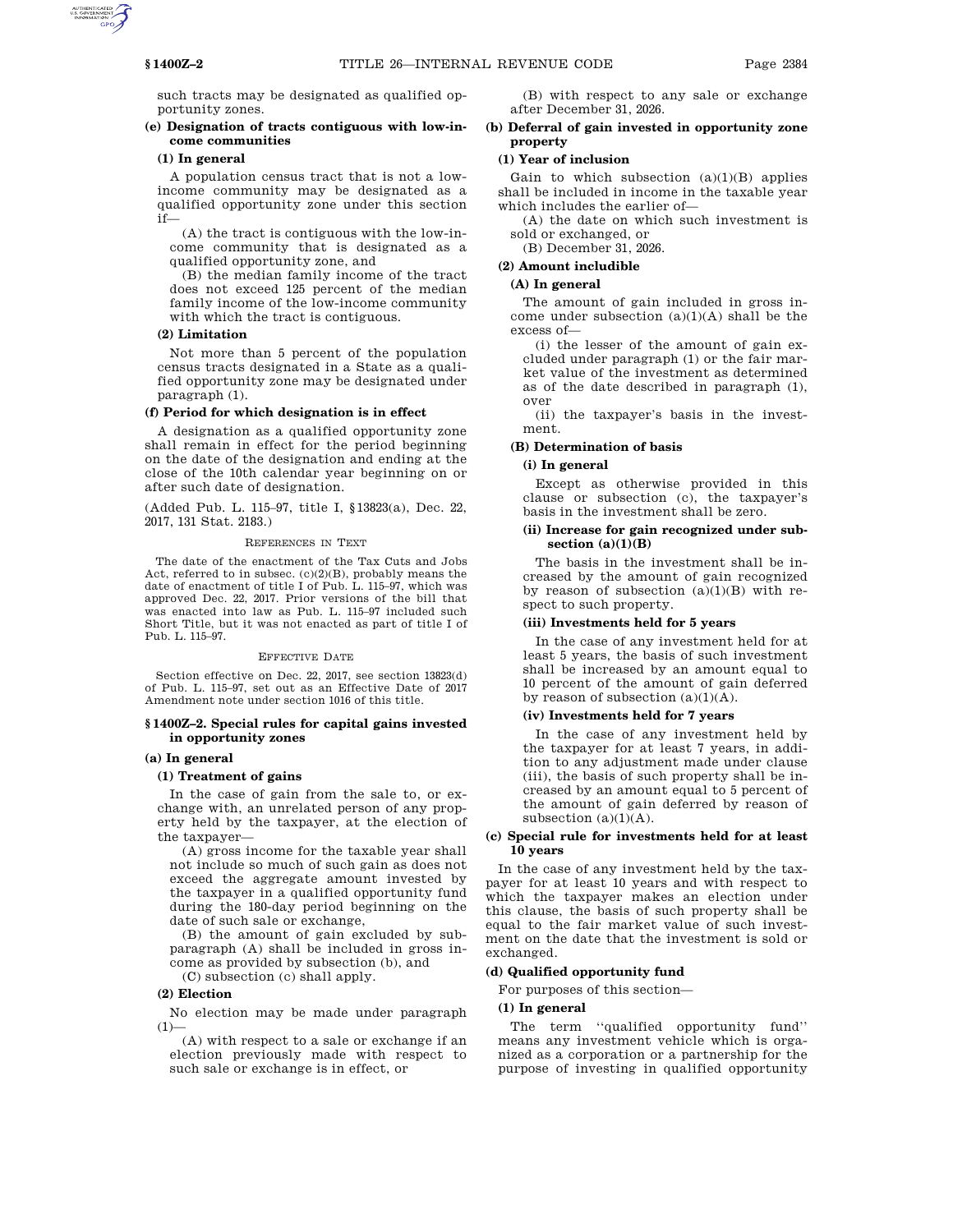such tracts may be designated as qualified opportunity zones.

# **(e) Designation of tracts contiguous with low-income communities**

#### **(1) In general**

A population census tract that is not a lowincome community may be designated as a qualified opportunity zone under this section if—

(A) the tract is contiguous with the low-income community that is designated as a qualified opportunity zone, and

(B) the median family income of the tract does not exceed 125 percent of the median family income of the low-income community with which the tract is contiguous.

#### **(2) Limitation**

Not more than 5 percent of the population census tracts designated in a State as a qualified opportunity zone may be designated under paragraph (1).

#### **(f) Period for which designation is in effect**

A designation as a qualified opportunity zone shall remain in effect for the period beginning on the date of the designation and ending at the close of the 10th calendar year beginning on or after such date of designation.

(Added Pub. L. 115–97, title I, §13823(a), Dec. 22, 2017, 131 Stat. 2183.)

#### REFERENCES IN TEXT

The date of the enactment of the Tax Cuts and Jobs Act, referred to in subsec. (c)(2)(B), probably means the date of enactment of title I of Pub. L. 115–97, which was approved Dec. 22, 2017. Prior versions of the bill that was enacted into law as Pub. L. 115–97 included such Short Title, but it was not enacted as part of title I of Pub. L. 115–97.

### EFFECTIVE DATE

Section effective on Dec. 22, 2017, see section 13823(d) of Pub. L. 115–97, set out as an Effective Date of 2017 Amendment note under section 1016 of this title.

#### **§ 1400Z–2. Special rules for capital gains invested in opportunity zones**

### **(a) In general**

# **(1) Treatment of gains**

In the case of gain from the sale to, or exchange with, an unrelated person of any property held by the taxpayer, at the election of the taxpayer—

(A) gross income for the taxable year shall not include so much of such gain as does not exceed the aggregate amount invested by the taxpayer in a qualified opportunity fund during the 180-day period beginning on the date of such sale or exchange,

(B) the amount of gain excluded by subparagraph (A) shall be included in gross income as provided by subsection (b), and

(C) subsection (c) shall apply.

# **(2) Election**

No election may be made under paragraph  $(1)$ 

(A) with respect to a sale or exchange if an election previously made with respect to such sale or exchange is in effect, or

(B) with respect to any sale or exchange after December 31, 2026.

# **(b) Deferral of gain invested in opportunity zone property**

### **(1) Year of inclusion**

Gain to which subsection  $(a)(1)(B)$  applies shall be included in income in the taxable year which includes the earlier of—

(A) the date on which such investment is sold or exchanged, or

(B) December 31, 2026.

# **(2) Amount includible**

# **(A) In general**

The amount of gain included in gross income under subsection  $(a)(1)(A)$  shall be the excess of—

(i) the lesser of the amount of gain excluded under paragraph (1) or the fair market value of the investment as determined as of the date described in paragraph (1), over

(ii) the taxpayer's basis in the investment.

### **(B) Determination of basis**

# **(i) In general**

Except as otherwise provided in this clause or subsection (c), the taxpayer's basis in the investment shall be zero.

# **(ii) Increase for gain recognized under subsection (a)(1)(B)**

The basis in the investment shall be increased by the amount of gain recognized by reason of subsection (a)(1)(B) with respect to such property.

# **(iii) Investments held for 5 years**

In the case of any investment held for at least 5 years, the basis of such investment shall be increased by an amount equal to 10 percent of the amount of gain deferred by reason of subsection  $(a)(1)(A)$ .

### **(iv) Investments held for 7 years**

In the case of any investment held by the taxpayer for at least 7 years, in addition to any adjustment made under clause (iii), the basis of such property shall be increased by an amount equal to 5 percent of the amount of gain deferred by reason of subsection  $(a)(1)(A)$ .

### **(c) Special rule for investments held for at least 10 years**

In the case of any investment held by the taxpayer for at least 10 years and with respect to which the taxpayer makes an election under this clause, the basis of such property shall be equal to the fair market value of such investment on the date that the investment is sold or exchanged.

#### **(d) Qualified opportunity fund**

For purposes of this section—

# **(1) In general**

The term ''qualified opportunity fund'' means any investment vehicle which is organized as a corporation or a partnership for the purpose of investing in qualified opportunity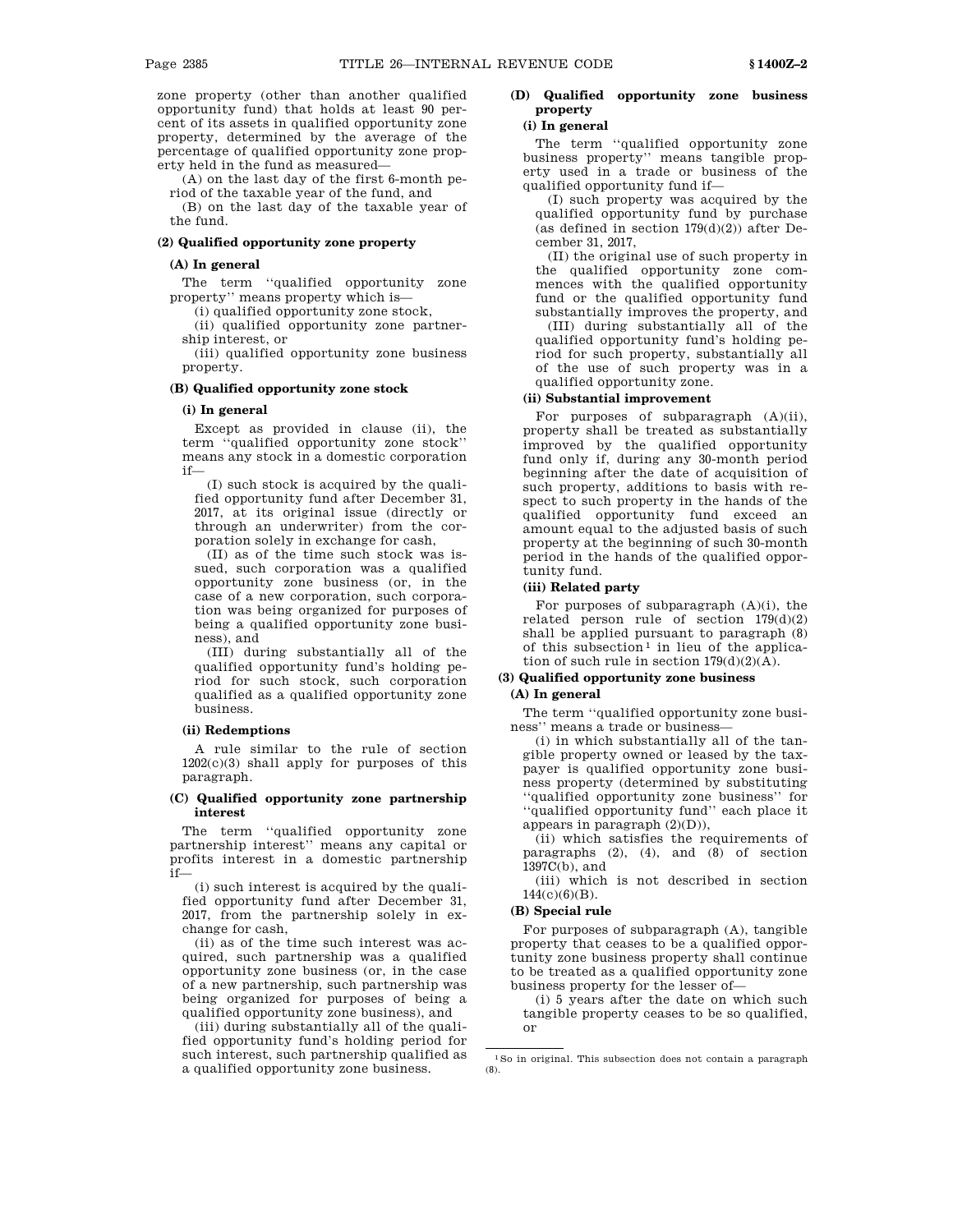zone property (other than another qualified opportunity fund) that holds at least 90 percent of its assets in qualified opportunity zone property, determined by the average of the percentage of qualified opportunity zone property held in the fund as measured—

(A) on the last day of the first 6-month period of the taxable year of the fund, and

(B) on the last day of the taxable year of the fund.

# **(2) Qualified opportunity zone property**

# **(A) In general**

The term ''qualified opportunity zone property'' means property which is—

(i) qualified opportunity zone stock,

(ii) qualified opportunity zone partner-

ship interest, or (iii) qualified opportunity zone business property.

#### **(B) Qualified opportunity zone stock**

### **(i) In general**

Except as provided in clause (ii), the term ''qualified opportunity zone stock'' means any stock in a domestic corporation if—

(I) such stock is acquired by the qualified opportunity fund after December 31, 2017, at its original issue (directly or through an underwriter) from the corporation solely in exchange for cash,

(II) as of the time such stock was issued, such corporation was a qualified opportunity zone business (or, in the case of a new corporation, such corporation was being organized for purposes of being a qualified opportunity zone business), and

(III) during substantially all of the qualified opportunity fund's holding period for such stock, such corporation qualified as a qualified opportunity zone business.

#### **(ii) Redemptions**

A rule similar to the rule of section 1202(c)(3) shall apply for purposes of this paragraph.

# **(C) Qualified opportunity zone partnership interest**

The term ''qualified opportunity zone partnership interest'' means any capital or profits interest in a domestic partnership if—

(i) such interest is acquired by the qualified opportunity fund after December 31, 2017, from the partnership solely in exchange for cash,

(ii) as of the time such interest was acquired, such partnership was a qualified opportunity zone business (or, in the case of a new partnership, such partnership was being organized for purposes of being a qualified opportunity zone business), and

(iii) during substantially all of the qualified opportunity fund's holding period for such interest, such partnership qualified as a qualified opportunity zone business.

# **(D) Qualified opportunity zone business property**

# **(i) In general**

The term ''qualified opportunity zone business property'' means tangible property used in a trade or business of the qualified opportunity fund if—

(I) such property was acquired by the qualified opportunity fund by purchase (as defined in section  $179(d)(2)$ ) after December 31, 2017,

(II) the original use of such property in the qualified opportunity zone commences with the qualified opportunity fund or the qualified opportunity fund substantially improves the property, and (III) during substantially all of the qualified opportunity fund's holding pe-

riod for such property, substantially all of the use of such property was in a qualified opportunity zone.

### **(ii) Substantial improvement**

For purposes of subparagraph (A)(ii), property shall be treated as substantially improved by the qualified opportunity fund only if, during any 30-month period beginning after the date of acquisition of such property, additions to basis with respect to such property in the hands of the qualified opportunity fund exceed an amount equal to the adjusted basis of such property at the beginning of such 30-month period in the hands of the qualified opportunity fund.

# **(iii) Related party**

For purposes of subparagraph (A)(i), the related person rule of section  $179(d)(2)$ shall be applied pursuant to paragraph (8) of this subsection<sup>1</sup> in lieu of the application of such rule in section  $179(d)(2)(A)$ .

# **(3) Qualified opportunity zone business**

# **(A) In general**

The term ''qualified opportunity zone business'' means a trade or business—

(i) in which substantially all of the tangible property owned or leased by the taxpayer is qualified opportunity zone business property (determined by substituting ''qualified opportunity zone business'' for ''qualified opportunity fund'' each place it appears in paragraph (2)(D)),

(ii) which satisfies the requirements of paragraphs (2), (4), and (8) of section 1397C(b), and

(iii) which is not described in section 144(c)(6)(B).

#### **(B) Special rule**

For purposes of subparagraph (A), tangible property that ceases to be a qualified opportunity zone business property shall continue to be treated as a qualified opportunity zone business property for the lesser of—

(i) 5 years after the date on which such tangible property ceases to be so qualified, or

<sup>1</sup>So in original. This subsection does not contain a paragraph (8).